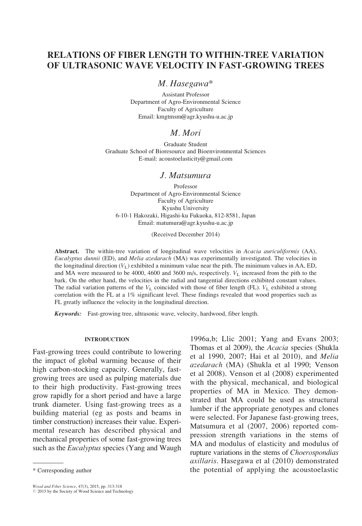# RELATIONS OF FIBER LENGTH TO WITHIN-TREE VARIATION OF ULTRASONIC WAVE VELOCITY IN FAST-GROWING TREES

### M. Hasegawa\*

Assistant Professor Department of Agro-Environmental Science Faculty of Agriculture Email: kmgtmsm@agr.kyushu-u.ac.jp

## M. Mori

Graduate Student Graduate School of Bioresource and Bioenvironmental Sciences E-mail: acoustoelasticity@gmail.com

### J. Matsumura

Professor Department of Agro-Environmental Science Faculty of Agriculture Kyushu University 6-10-1 Hakozaki, Higashi-ku Fukuoka, 812-8581, Japan Email: matumura@agr.kyushu-u.ac.jp

(Received December 2014)

Abstract. The within-tree variation of longitudinal wave velocities in Acacia auriculiformis (AA), Eucalyptus dunnii (ED), and Melia azedarach (MA) was experimentally investigated. The velocities in the longitudinal direction  $(V_L)$  exhibited a minimum value near the pith. The minimum values in AA, ED, and MA were measured to be 4000, 4600 and 3600 m/s, respectively.  $V<sub>L</sub>$  increased from the pith to the bark. On the other hand, the velocities in the radial and tangential directions exhibited constant values. The radial variation patterns of the  $V<sub>L</sub>$  coincided with those of fiber length (FL).  $V<sub>L</sub>$  exhibited a strong correlation with the FL at a 1% significant level. These findings revealed that wood properties such as FL greatly influence the velocity in the longitudinal direction.

Keywords: Fast-growing tree, ultrasonic wave, velocity, hardwood, fiber length.

#### INTRODUCTION

Fast-growing trees could contribute to lowering the impact of global warming because of their high carbon-stocking capacity. Generally, fastgrowing trees are used as pulping materials due to their high productivity. Fast-growing trees grow rapidly for a short period and have a large trunk diameter. Using fast-growing trees as a building material (eg as posts and beams in timber construction) increases their value. Experimental research has described physical and mechanical properties of some fast-growing trees such as the *Eucalyptus* species (Yang and Waugh

Wood and Fiber Science, 47(3), 2015, pp. 313-318<br>© 2015 by the Society of Wood Science and Technology

1996a,b; Llic 2001; Yang and Evans 2003; Thomas et al 2009), the Acacia species (Shukla et al 1990, 2007; Hai et al 2010), and Melia azedarach (MA) (Shukla et al 1990; Venson et al 2008). Venson et al (2008) experimented with the physical, mechanical, and biological properties of MA in Mexico. They demonstrated that MA could be used as structural lumber if the appropriate genotypes and clones were selected. For Japanese fast-growing trees, Matsumura et al (2007, 2006) reported compression strength variations in the stems of MA and modulus of elasticity and modulus of rupture variations in the stems of Choerospondias axillaris. Hasegawa et al (2010) demonstrated \* Corresponding author the potential of applying the acoustoelastic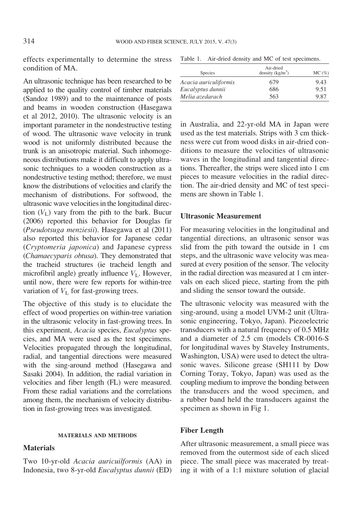effects experimentally to determine the stress condition of MA.

An ultrasonic technique has been researched to be applied to the quality control of timber materials (Sandoz 1989) and to the maintenance of posts and beams in wooden construction (Hasegawa et al 2012, 2010). The ultrasonic velocity is an important parameter in the nondestructive testing of wood. The ultrasonic wave velocity in trunk wood is not uniformly distributed because the trunk is an anisotropic material. Such inhomogeneous distributions make it difficult to apply ultrasonic techniques to a wooden construction as a nondestructive testing method; therefore, we must know the distributions of velocities and clarify the mechanism of distributions. For softwood, the ultrasonic wave velocities in the longitudinal direction  $(V_L)$  vary from the pith to the bark. Bucur (2006) reported this behavior for Douglas fir (Pseudotsuga menziesii). Hasegawa et al (2011) also reported this behavior for Japanese cedar (Cryptomeria japonica) and Japanese cypress (Chamaecyparis obtusa). They demonstrated that the tracheid structures (ie tracheid length and microfibril angle) greatly influence  $V<sub>L</sub>$ . However, until now, there were few reports for within-tree variation of  $V<sub>L</sub>$  for fast-growing trees.

The objective of this study is to elucidate the effect of wood properties on within-tree variation in the ultrasonic velocity in fast-growing trees. In this experiment, Acacia species, Eucalyptus species, and MA were used as the test specimens. Velocities propagated through the longitudinal, radial, and tangential directions were measured with the sing-around method (Hasegawa and Sasaki 2004). In addition, the radial variation in velocities and fiber length (FL) were measured. From these radial variations and the correlations among them, the mechanism of velocity distribution in fast-growing trees was investigated.

#### MATERIALS AND METHODS

#### Materials

Two 10-yr-old Acacia auricuilformis (AA) in Indonesia, two 8-yr-old Eucalyptus dunnii (ED)

| Table 1. |  |  |  |  |  | Air-dried density and MC of test specimens. |
|----------|--|--|--|--|--|---------------------------------------------|
|----------|--|--|--|--|--|---------------------------------------------|

| Species               | Air-dried<br>density $(kg/m^3)$ | $MC(\%)$ |  |
|-----------------------|---------------------------------|----------|--|
| Acacia auriculiformis | 679                             | 9.43     |  |
| Eucalyptus dunnii     | 686                             | 9.51     |  |
| Melia azedarach       | 563                             | 9.87     |  |

in Australia, and 22-yr-old MA in Japan were used as the test materials. Strips with 3 cm thickness were cut from wood disks in air-dried conditions to measure the velocities of ultrasonic waves in the longitudinal and tangential directions. Thereafter, the strips were sliced into 1 cm pieces to measure velocities in the radial direction. The air-dried density and MC of test specimens are shown in Table 1.

### Ultrasonic Measurement

For measuring velocities in the longitudinal and tangential directions, an ultrasonic sensor was slid from the pith toward the outside in 1 cm steps, and the ultrasonic wave velocity was measured at every position of the sensor. The velocity in the radial direction was measured at 1 cm intervals on each sliced piece, starting from the pith and sliding the sensor toward the outside.

The ultrasonic velocity was measured with the sing-around, using a model UVM-2 unit (Ultrasonic engineering, Tokyo, Japan). Piezoelectric transducers with a natural frequency of 0.5 MHz and a diameter of 2.5 cm (models CR-0016-S for longitudinal waves by Staveley Instruments, Washington, USA) were used to detect the ultrasonic waves. Silicone grease (SH111 by Dow Corning Toray, Tokyo, Japan) was used as the coupling medium to improve the bonding between the transducers and the wood specimen, and a rubber band held the transducers against the specimen as shown in Fig 1.

#### Fiber Length

After ultrasonic measurement, a small piece was removed from the outermost side of each sliced piece. The small piece was macerated by treating it with of a 1:1 mixture solution of glacial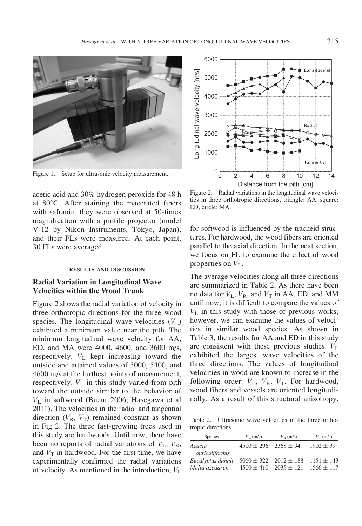

Figure 1. Setup for ultrasonic velocity measurement.

acetic acid and 30% hydrogen peroxide for 48 h at  $80^{\circ}$ C. After staining the macerated fibers with safranin, they were observed at 50-times magnification with a profile projector (model V-12 by Nikon Instruments, Tokyo, Japan), and their FLs were measured. At each point, 30 FLs were averaged.

#### RESULTS AND DISCUSSION

### Radial Variation in Longitudinal Wave Velocities within the Wood Trunk

Figure 2 shows the radial variation of velocity in three orthotropic directions for the three wood species. The longitudinal wave velocities  $(V<sub>L</sub>)$ exhibited a minimum value near the pith. The minimum longitudinal wave velocity for AA, ED, and MA were 4000, 4600, and 3600 m/s, respectively.  $V_{\text{L}}$  kept increasing toward the outside and attained values of 5000, 5400, and 4600 m/s at the furthest points of measurement, respectively.  $V_{\text{L}}$  in this study varied from pith toward the outside similar to the behavior of  $V<sub>L</sub>$  in softwood (Bucur 2006; Hasegawa et al 2011). The velocities in the radial and tangential direction  $(V_R, V_T)$  remained constant as shown in Fig 2. The three fast-growing trees used in this study are hardwoods. Until now, there have been no reports of radial variations of  $V_L$ ,  $V_R$ , and  $V_T$  in hardwood. For the first time, we have experimentally confirmed the radial variations of velocity. As mentioned in the introduction,  $V<sub>L</sub>$ 



Figure 2. Radial variations in the longitudinal wave velocities in three orthotropic directions, triangle: AA, square: ED, circle: MA.

for softwood is influenced by the tracheid structures. For hardwood, the wood fibers are oriented parallel to the axial direction. In the next section, we focus on FL to examine the effect of wood properties on  $V_L$ .

The average velocities along all three directions are summarized in Table 2. As there have been no data for  $V_L$ ,  $V_R$ , and  $V_T$  in AA, ED, and MM until now, it is difficult to compare the values of  $V<sub>L</sub>$  in this study with those of previous works; however, we can examine the values of velocities in similar wood species. As shown in Table 3, the results for AA and ED in this study are consistent with these previous studies.  $V_{\text{L}}$ exhibited the largest wave velocities of the three directions. The values of longitudinal velocities in wood are known to increase in the following order:  $V_L$ ,  $V_R$ ,  $V_T$ . For hardwood, wood fibers and vessels are oriented longitudinally. As a result of this structural anisotropy,

Table 2. Ultrasonic wave velocities in the three orthotropic directions.

| Species                             | $V_{\rm L}$ (m/s)            | $V_{\rm R}$ (m/s)             | $V_T$ (m/s)    |
|-------------------------------------|------------------------------|-------------------------------|----------------|
| Acacia                              | $4500 \pm 296$ 2368 $\pm 94$ |                               | $1902 + 39$    |
| auriculiformis<br>Eucalyptus dunnii |                              | $5060 \pm 322$ $2012 \pm 188$ | $1151 \pm 143$ |
| Melia azedarch                      | $4500 + 410$                 | $2035 \pm 121$                | $1566 + 117$   |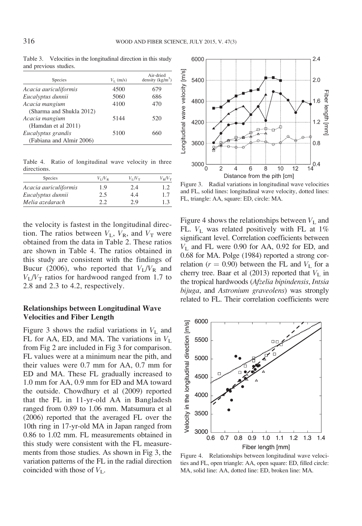| Table 3. Velocities in the longitudinal direction in this study |
|-----------------------------------------------------------------|
| and previous studies.                                           |

| Species                  | $V_{\rm L}$ (m/s) | Air-dried<br>density $(kg/m^3)$ |
|--------------------------|-------------------|---------------------------------|
| Acacia auriculiformis    | 4500              | 679                             |
| Eucalyptus dunnii        | 5060              | 686                             |
| Acacia mangium           | 4100              | 470                             |
| (Sharma and Shukla 2012) |                   |                                 |
| Acacia mangium           | 5144              | 520                             |
| (Hamdan et al 2011)      |                   |                                 |
| Eucalyptus grandis       | 5100              | 660                             |
| (Fabiana and Almir 2006) |                   |                                 |

Table 4. Ratio of longitudinal wave velocity in three directions.

| Species               | $V_I/V_R$ | $V_I/V_T$ | $V_R/V_T$ |
|-----------------------|-----------|-----------|-----------|
| Acacia auriculiformis | 1.9       | 2.4       | 1.2       |
| Eucalyptus dunnii     | 2.5       | 4.4       | 1.7       |
| Melia azedarach       | 22        | 2.9       | 1.3       |

the velocity is fastest in the longitudinal direction. The ratios between  $V_L$ ,  $V_R$ , and  $V_T$  were obtained from the data in Table 2. These ratios are shown in Table 4. The ratios obtained in this study are consistent with the findings of Bucur (2006), who reported that  $V_L/V_R$  and  $V_I/V_T$  ratios for hardwood ranged from 1.7 to 2.8 and 2.3 to 4.2, respectively.

### Relationships between Longitudinal Wave Velocities and Fiber Length

Figure 3 shows the radial variations in  $V<sub>L</sub>$  and FL for AA, ED, and MA. The variations in  $V<sub>L</sub>$ from Fig 2 are included in Fig 3 for comparison. FL values were at a minimum near the pith, and their values were 0.7 mm for AA, 0.7 mm for ED and MA. These FL gradually increased to 1.0 mm for AA, 0.9 mm for ED and MA toward the outside. Chowdhury et al (2009) reported that the FL in 11-yr-old AA in Bangladesh ranged from 0.89 to 1.06 mm. Matsumura et al (2006) reported that the averaged FL over the 10th ring in 17-yr-old MA in Japan ranged from 0.86 to 1.02 mm. FL measurements obtained in this study were consistent with the FL measurements from those studies. As shown in Fig 3, the variation patterns of the FL in the radial direction coincided with those of  $V_{\text{L}}$ .



Figure 3. Radial variations in longitudinal wave velocities and FL, solid lines: longitudinal wave velocity, dotted lines: FL, triangle: AA, square: ED, circle: MA.

Figure 4 shows the relationships between  $V<sub>L</sub>$  and FL.  $V_L$  was related positively with FL at 1% significant level. Correlation coefficients between  $V<sub>L</sub>$  and FL were 0.90 for AA, 0.92 for ED, and 0.68 for MA. Polge (1984) reported a strong correlation ( $r = 0.90$ ) between the FL and  $V<sub>L</sub>$  for a cherry tree. Baar et al  $(2013)$  reported that  $V<sub>L</sub>$  in the tropical hardwoods (Afzelia bipindensis, Intsia bijuga, and Astronium graveolens) was strongly related to FL. Their correlation coefficients were



Figure 4. Relationships between longitudinal wave velocities and FL, open triangle: AA, open square: ED, filled circle: MA, solid line: AA, dotted line: ED, broken line: MA.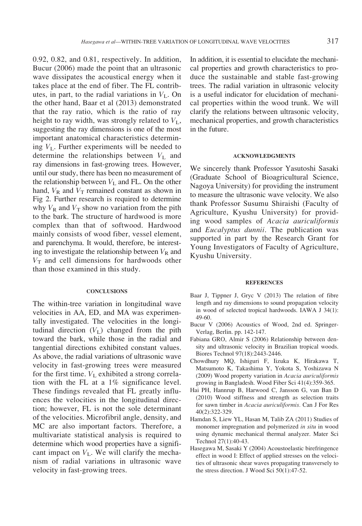0.92, 0.82, and 0.81, respectively. In addition, Bucur (2006) made the point that an ultrasonic wave dissipates the acoustical energy when it takes place at the end of fiber. The FL contributes, in part, to the radial variations in  $V<sub>L</sub>$ . On the other hand, Baar et al (2013) demonstrated that the ray ratio, which is the ratio of ray height to ray width, was strongly related to  $V_{\text{L}}$ , suggesting the ray dimensions is one of the most important anatomical characteristics determining  $V<sub>L</sub>$ . Further experiments will be needed to determine the relationships between  $V<sub>L</sub>$  and ray dimensions in fast-growing trees. However, until our study, there has been no measurement of the relationship between  $V<sub>L</sub>$  and FL. On the other hand,  $V_R$  and  $V_T$  remained constant as shown in Fig 2. Further research is required to determine why  $V_R$  and  $V_T$  show no variation from the pith to the bark. The structure of hardwood is more complex than that of softwood. Hardwood mainly consists of wood fiber, vessel element, and parenchyma. It would, therefore, be interesting to investigate the relationship between  $V_R$  and  $V<sub>T</sub>$  and cell dimensions for hardwoods other than those examined in this study.

#### **CONCLUSIONS**

The within-tree variation in longitudinal wave velocities in AA, ED, and MA was experimentally investigated. The velocities in the longitudinal direction  $(V<sub>L</sub>)$  changed from the pith toward the bark, while those in the radial and tangential directions exhibited constant values. As above, the radial variations of ultrasonic wave velocity in fast-growing trees were measured for the first time.  $V_L$  exhibited a strong correlation with the FL at a 1% significance level. These findings revealed that FL greatly influences the velocities in the longitudinal direction; however, FL is not the sole determinant of the velocities. Microfibril angle, density, and MC are also important factors. Therefore, a multivariate statistical analysis is required to determine which wood properties have a significant impact on  $V<sub>L</sub>$ . We will clarify the mechanism of radial variations in ultrasonic wave velocity in fast-growing trees.

In addition, it is essential to elucidate the mechanical properties and growth characteristics to produce the sustainable and stable fast-growing trees. The radial variation in ultrasonic velocity is a useful indicator for elucidation of mechanical properties within the wood trunk. We will clarify the relations between ultrasonic velocity, mechanical properties, and growth characteristics in the future.

#### ACKNOWLEDGMENTS

We sincerely thank Professor Yasutoshi Sasaki (Graduate School of Bioagricultural Science, Nagoya University) for providing the instrument to measure the ultrasonic wave velocity. We also thank Professor Susumu Shiraishi (Faculty of Agriculture, Kyushu University) for providing wood samples of Acacia auriculiformis and Eucalyptus dunnii. The publication was supported in part by the Research Grant for Young Investigators of Faculty of Agriculture, Kyushu University.

#### **REFERENCES**

- Baar J, Tippner J, Gryc V (2013) The relation of fibre length and ray dimensions to sound propagation velocity in wood of selected tropical hardwoods. IAWA J 34(1): 49-60.
- Bucur V (2006) Acoustics of Wood, 2nd ed. Springer-Verlag, Berlin. pp. 142-147.
- Fabiana GRO, Almir S (2006) Relationship between density and ultrasonic velocity in Brazilian tropical woods. Biores Technol 97(18):2443-2446.
- Chowdhury MQ, Ishiguri F, Iizuka K, Hirakawa T, Matsumoto K, Takashima Y, Yokota S, Yoshizawa N (2009) Wood property variation in Acacia auriculiformis growing in Bangladesh. Wood Fiber Sci 41(4):359-365.
- Hai PH, Hannrup B, Harwood C, Jansson G, van Ban D (2010) Wood stiffness and strength as selection traits for sawn timber in Acacia auriculiformis. Can J For Res 40(2):322-329.
- Hamdan S, Liew YL, Hasan M, Talib ZA (2011) Studies of monomer impregnation and polymerized in situ in wood using dynamic mechanical thermal analyzer. Mater Sci Technol 27(1):40-43.
- Hasegawa M, Sasaki Y (2004) Acoustoelastic birefringence effect in wood I: Effect of applied stresses on the velocities of ultrasonic shear waves propagating transversely to the stress direction. J Wood Sci 50(1):47-52.